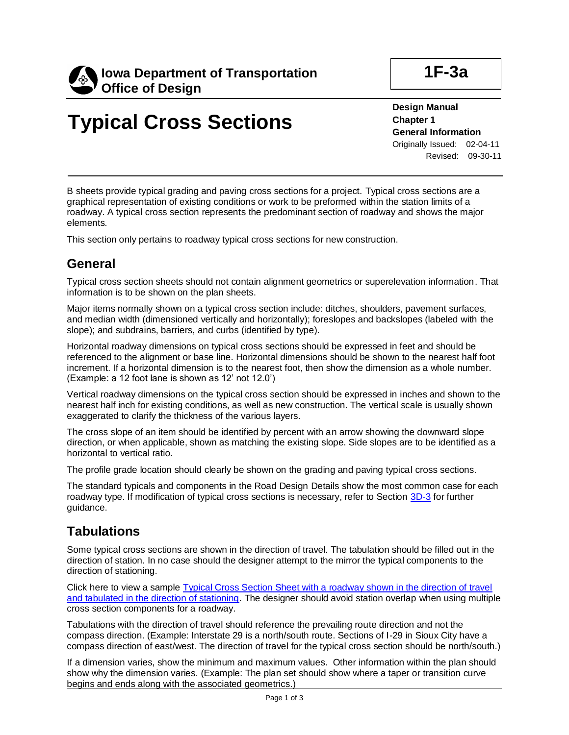

# **Typical Cross Sections**

**Design Manual Chapter 1 General Information** Originally Issued: 02-04-11 Revised: 09-30-11

B sheets provide typical grading and paving cross sections for a project. Typical cross sections are a graphical representation of existing conditions or work to be preformed within the station limits of a roadway. A typical cross section represents the predominant section of roadway and shows the major elements.

This section only pertains to roadway typical cross sections for new construction.

## **General**

Typical cross section sheets should not contain alignment geometrics or superelevation information. That information is to be shown on the plan sheets.

Major items normally shown on a typical cross section include: ditches, shoulders, pavement surfaces, and median width (dimensioned vertically and horizontally); foreslopes and backslopes (labeled with the slope); and subdrains, barriers, and curbs (identified by type).

Horizontal roadway dimensions on typical cross sections should be expressed in feet and should be referenced to the alignment or base line. Horizontal dimensions should be shown to the nearest half foot increment. If a horizontal dimension is to the nearest foot, then show the dimension as a whole number. (Example: a 12 foot lane is shown as 12' not 12.0')

Vertical roadway dimensions on the typical cross section should be expressed in inches and shown to the nearest half inch for existing conditions, as well as new construction. The vertical scale is usually shown exaggerated to clarify the thickness of the various layers.

The cross slope of an item should be identified by percent with an arrow showing the downward slope direction, or when applicable, shown as matching the existing slope. Side slopes are to be identified as a horizontal to vertical ratio.

The profile grade location should clearly be shown on the grading and paving typical cross sections.

The standard typicals and components in the Road Design Details show the most common case for each roadway type. If modification of typical cross sections is necessary, refer to Section [3D-3](03d-03.pdf) for further guidance.

## **Tabulations**

Some typical cross sections are shown in the direction of travel. The tabulation should be filled out in the direction of station. In no case should the designer attempt to the mirror the typical components to the direction of stationing.

Click here to view a sample [Typical Cross Section Sheet with a roadway shown in the direction of travel](01F-03a/Typical%20Cross%20Section%20Sheet%20with%20a%20roadway%20shown%20in%20the%20direction%20of%20travel%20and%20tabulated%20in%20the%20direction%20of%20stationing.pdf)  [and tabulated in the direction of stationing.](01F-03a/Typical%20Cross%20Section%20Sheet%20with%20a%20roadway%20shown%20in%20the%20direction%20of%20travel%20and%20tabulated%20in%20the%20direction%20of%20stationing.pdf) The designer should avoid station overlap when using multiple cross section components for a roadway.

Tabulations with the direction of travel should reference the prevailing route direction and not the compass direction. (Example: Interstate 29 is a north/south route. Sections of I-29 in Sioux City have a compass direction of east/west. The direction of travel for the typical cross section should be north/south.)

If a dimension varies, show the minimum and maximum values. Other information within the plan should show why the dimension varies. (Example: The plan set should show where a taper or transition curve begins and ends along with the associated geometrics.)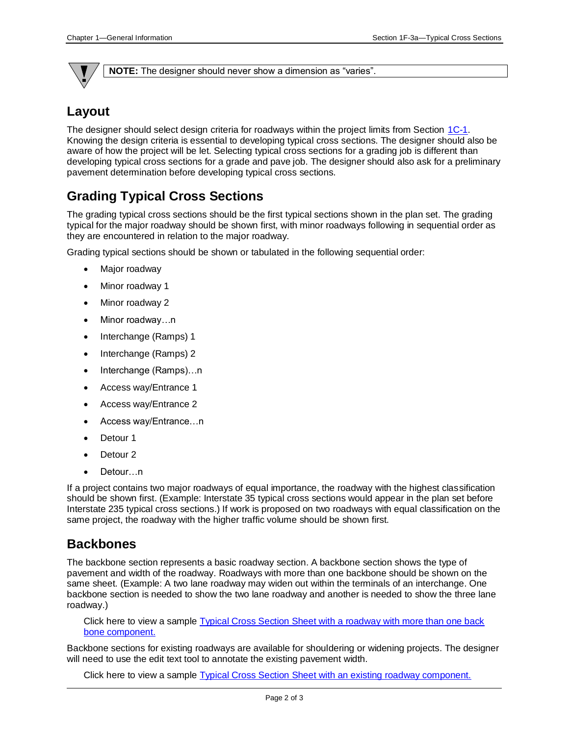

**NOTE:** The designer should never show a dimension as "varies".

## **Layout**

The designer should select design criteria for roadways within the project limits from Section [1C-1.](01c-01.pdf) Knowing the design criteria is essential to developing typical cross sections. The designer should also be aware of how the project will be let. Selecting typical cross sections for a grading job is different than developing typical cross sections for a grade and pave job. The designer should also ask for a preliminary pavement determination before developing typical cross sections.

## **Grading Typical Cross Sections**

The grading typical cross sections should be the first typical sections shown in the plan set. The grading typical for the major roadway should be shown first, with minor roadways following in sequential order as they are encountered in relation to the major roadway.

Grading typical sections should be shown or tabulated in the following sequential order:

- Major roadway
- Minor roadway 1
- Minor roadway 2
- Minor roadway…n
- Interchange (Ramps) 1
- Interchange (Ramps) 2
- Interchange (Ramps)...n
- Access way/Entrance 1
- Access way/Entrance 2
- Access way/Entrance…n
- Detour<sub>1</sub>
- Detour<sub>2</sub>
- Detour...n

If a project contains two major roadways of equal importance, the roadway with the highest classification should be shown first. (Example: Interstate 35 typical cross sections would appear in the plan set before Interstate 235 typical cross sections.) If work is proposed on two roadways with equal classification on the same project, the roadway with the higher traffic volume should be shown first.

#### **Backbones**

The backbone section represents a basic roadway section. A backbone section shows the type of pavement and width of the roadway. Roadways with more than one backbone should be shown on the same sheet. (Example: A two lane roadway may widen out within the terminals of an interchange. One backbone section is needed to show the two lane roadway and another is needed to show the three lane roadway.)

Click here to view a sample [Typical Cross Section Sheet with a roadway with more than one back](01F-03a/Typical%20Cross%20Section%20Sheet%20with%20a%20roadway%20with%20more%20than%20one%20back%20bone%20component.pdf)  [bone component.](01F-03a/Typical%20Cross%20Section%20Sheet%20with%20a%20roadway%20with%20more%20than%20one%20back%20bone%20component.pdf)

Backbone sections for existing roadways are available for shouldering or widening projects. The designer will need to use the edit text tool to annotate the existing pavement width.

Click here to view a sample [Typical Cross Section Sheet with an existing roadway component.](01F-03a/Typical%20Cross%20Section%20Sheet%20with%20an%20existing%20roadway%20component.pdf)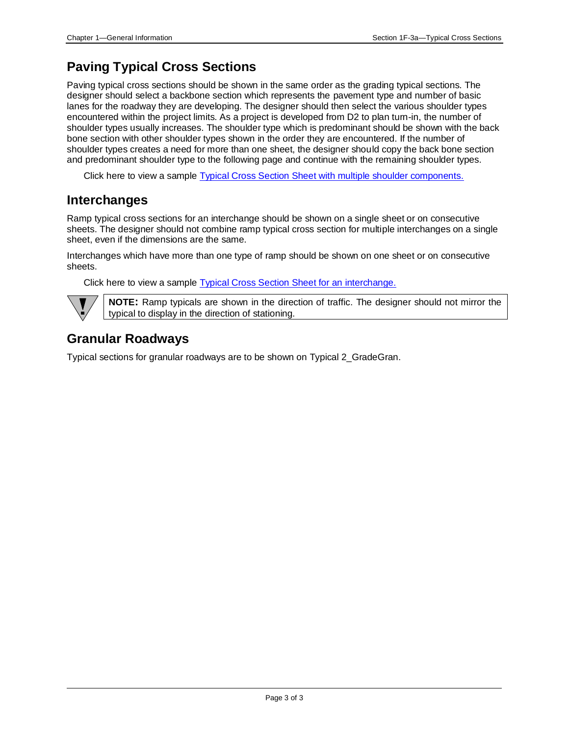## **Paving Typical Cross Sections**

Paving typical cross sections should be shown in the same order as the grading typical sections. The designer should select a backbone section which represents the pavement type and number of basic lanes for the roadway they are developing. The designer should then select the various shoulder types encountered within the project limits. As a project is developed from D2 to plan turn-in, the number of shoulder types usually increases. The shoulder type which is predominant should be shown with the back bone section with other shoulder types shown in the order they are encountered. If the number of shoulder types creates a need for more than one sheet, the designer should copy the back bone section and predominant shoulder type to the following page and continue with the remaining shoulder types.

Click here to view a sample [Typical Cross Section Sheet with multiple shoulder components.](01F-03a/Typical%20Cross%20Section%20Sheet%20with%20multiple%20shoulder%20components.pdf)

#### **Interchanges**

Ramp typical cross sections for an interchange should be shown on a single sheet or on consecutive sheets. The designer should not combine ramp typical cross section for multiple interchanges on a single sheet, even if the dimensions are the same.

Interchanges which have more than one type of ramp should be shown on one sheet or on consecutive sheets.

Click here to view a sample [Typical Cross Section Sheet for an interchange.](01F-03a/Typical%20Cross%20Section%20Sheet%20for%20an%20interhchange.pdf)



**NOTE:** Ramp typicals are shown in the direction of traffic. The designer should not mirror the typical to display in the direction of stationing.

## **Granular Roadways**

Typical sections for granular roadways are to be shown on Typical 2\_GradeGran.